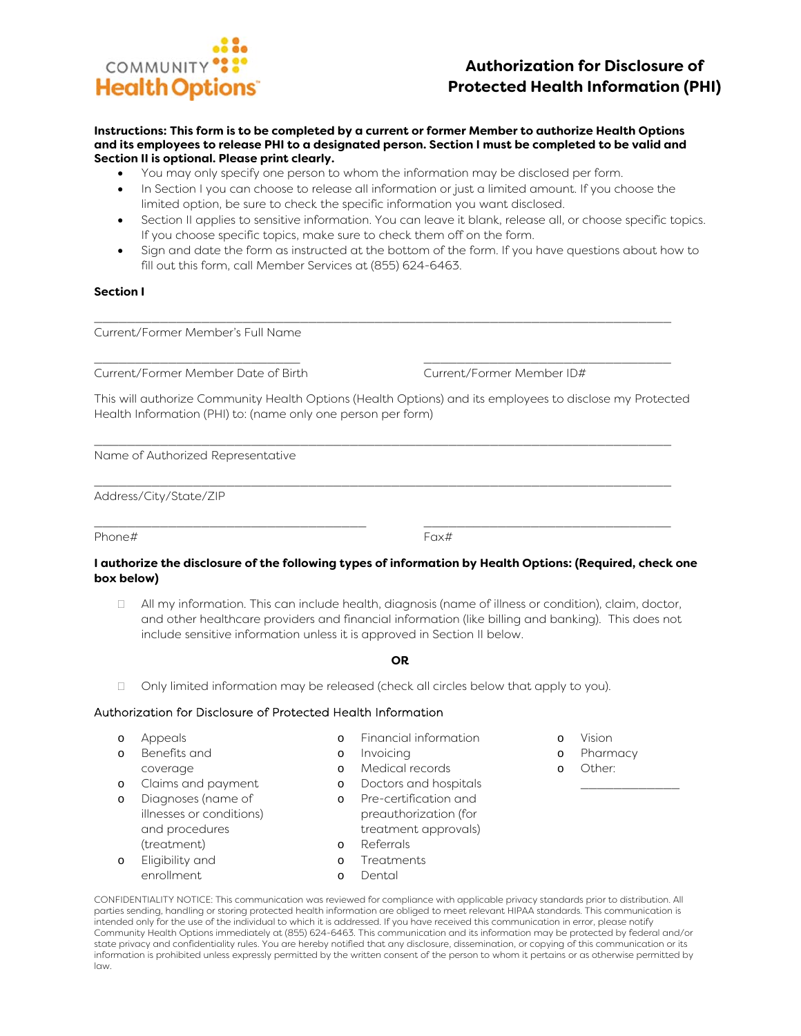# COMMUNITY **Health Options**

# **Authorization for Disclosure of Protected Health Information (PHI)**

#### **Instructions: This form is to be completed by a current or former Member to authorize Health Options and its employees to release PHI to a designated person. Section I must be completed to be valid and Section II is optional. Please print clearly.**

- You may only specify one person to whom the information may be disclosed per form.
- In Section I you can choose to release all information or just a limited amount. If you choose the limited option, be sure to check the specific information you want disclosed.
- Section II applies to sensitive information. You can leave it blank, release all, or choose specific topics. If you choose specific topics, make sure to check them off on the form.
- Sign and date the form as instructed at the bottom of the form. If you have questions about how to fill out this form, call Member Services at (855) 624-6463.

# **Section I**

Current/Former Member's Full Name

\_\_\_\_\_\_\_\_\_\_\_\_\_\_\_\_\_\_\_\_\_\_\_\_\_ \_\_\_\_\_\_\_\_\_\_\_\_\_\_\_\_\_\_\_\_\_\_\_\_\_\_\_\_\_\_ Current/Former Member Date of Birth Current/Former Member ID#

This will authorize Community Health Options (Health Options) and its employees to disclose my Protected Health Information (PHI) to: (name only one person per form)

\_\_\_\_\_\_\_\_\_\_\_\_\_\_\_\_\_\_\_\_\_\_\_\_\_\_\_\_\_\_\_\_\_\_\_\_\_\_\_\_\_\_\_\_\_\_\_\_\_\_\_\_\_\_\_\_\_\_\_\_\_\_\_\_\_\_\_\_\_\_

\_\_\_\_\_\_\_\_\_\_\_\_\_\_\_\_\_\_\_\_\_\_\_\_\_\_\_\_\_\_\_\_\_\_\_\_\_\_\_\_\_\_\_\_\_\_\_\_\_\_\_\_\_\_\_\_\_\_\_\_\_\_\_\_\_\_\_\_\_\_

\_\_\_\_\_\_\_\_\_\_\_\_\_\_\_\_\_\_\_\_\_\_\_\_\_\_\_\_\_\_\_\_\_\_\_\_\_\_\_\_\_\_\_\_\_\_\_\_\_\_\_\_\_\_\_\_\_\_\_\_\_\_\_\_\_\_\_\_\_\_

Name of Authorized Representative

Address/City/State/ZIP

Phone# Fax#

\_\_\_\_\_\_\_\_\_\_\_\_\_\_\_\_\_\_\_\_\_\_\_\_\_\_\_\_\_\_\_\_\_ \_\_\_\_\_\_\_\_\_\_\_\_\_\_\_\_\_\_\_\_\_\_\_\_\_\_\_\_\_\_

#### **I authorize the disclosure of the following types of information by Health Options: (Required, check one box below)**

 All my information. This can include health, diagnosis (name of illness or condition), claim, doctor, and other healthcare providers and financial information (like billing and banking). This does not include sensitive information unless it is approved in Section II below.

# **OR**

 $\Box$  Only limited information may be released (check all circles below that apply to you).

# Authorization for Disclosure of Protected Health Information

| $\circ$  | Appeals                  |          | Financial information |
|----------|--------------------------|----------|-----------------------|
| $\Omega$ | Benefits and             | $\circ$  | Invoicing             |
|          | coverage                 |          | Medical records       |
| $\circ$  | Claims and payment       | $\Omega$ | Doctors and hospitals |
| $\circ$  | Diagnoses (name of       |          | Pre-certification and |
|          | illnesses or conditions) |          | preauthorization (for |
|          | and procedures           |          | treatment approvals)  |
|          | (treatment)              | $\Omega$ | Referrals             |
| $\Omega$ | Fligibility and          | ∩        | Treatments            |

o Eligibility and enrollment o Dental

CONFIDENTIALITY NOTICE: This communication was reviewed for compliance with applicable privacy standards prior to distribution. All parties sending, handling or storing protected health information are obliged to meet relevant HIPAA standards. This communication is intended only for the use of the individual to which it is addressed. If you have received this communication in error, please notify Community Health Options immediately at (855) 624-6463. This communication and its information may be protected by federal and/or state privacy and confidentiality rules. You are hereby notified that any disclosure, dissemination, or copying of this communication or its information is prohibited unless expressly permitted by the written consent of the person to whom it pertains or as otherwise permitted by law.

- o Vision
- o Pharmacy

\_\_\_\_\_\_\_\_\_\_\_\_

o Other: